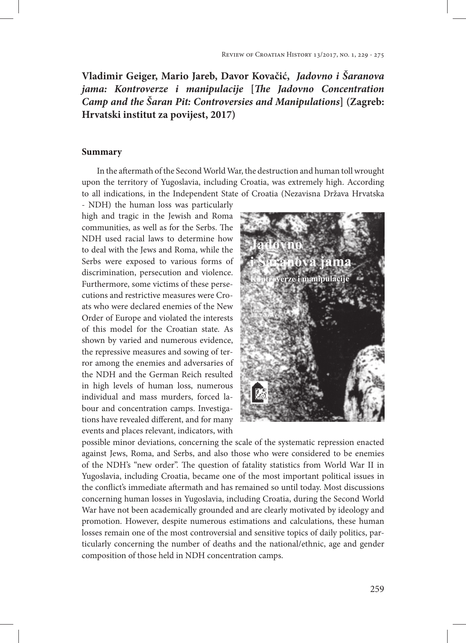## **Vladimir Geiger, Mario Jareb, Davor Kovačić,** *Jadovno i Šaranova jama: Kontroverze i manipulacije* **[***The Jadovno Concentration Camp and the Šaran Pit: Controversies and Manipulations***] (Zagreb: Hrvatski institut za povijest, 2017)**

## **Summary**

In the aftermath of the Second World War, the destruction and human toll wrought upon the territory of Yugoslavia, including Croatia, was extremely high. According to all indications, in the Independent State of Croatia (Nezavisna Država Hrvatska

- NDH) the human loss was particularly high and tragic in the Jewish and Roma communities, as well as for the Serbs. The NDH used racial laws to determine how to deal with the Jews and Roma, while the Serbs were exposed to various forms of discrimination, persecution and violence. Furthermore, some victims of these persecutions and restrictive measures were Croats who were declared enemies of the New Order of Europe and violated the interests of this model for the Croatian state. As shown by varied and numerous evidence, the repressive measures and sowing of terror among the enemies and adversaries of the NDH and the German Reich resulted in high levels of human loss, numerous individual and mass murders, forced labour and concentration camps. Investigations have revealed different, and for many events and places relevant, indicators, with



possible minor deviations, concerning the scale of the systematic repression enacted against Jews, Roma, and Serbs, and also those who were considered to be enemies of the NDH's "new order". The question of fatality statistics from World War II in Yugoslavia, including Croatia, became one of the most important political issues in the conflict's immediate aftermath and has remained so until today. Most discussions concerning human losses in Yugoslavia, including Croatia, during the Second World War have not been academically grounded and are clearly motivated by ideology and promotion. However, despite numerous estimations and calculations, these human losses remain one of the most controversial and sensitive topics of daily politics, particularly concerning the number of deaths and the national/ethnic, age and gender composition of those held in NDH concentration camps.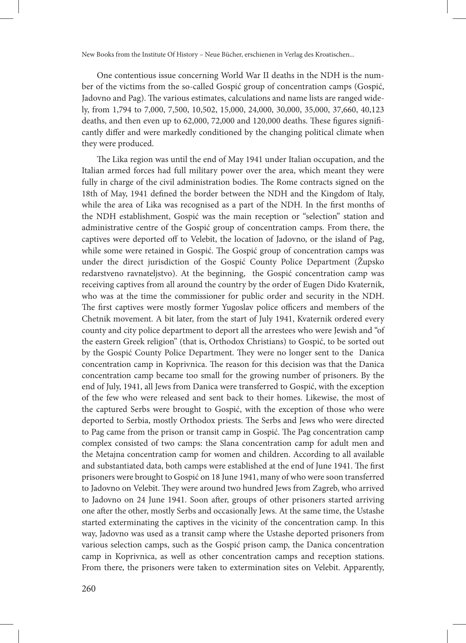One contentious issue concerning World War II deaths in the NDH is the number of the victims from the so-called Gospić group of concentration camps (Gospić, Jadovno and Pag). The various estimates, calculations and name lists are ranged widely, from 1,794 to 7,000, 7,500, 10,502, 15,000, 24,000, 30,000, 35,000, 37,660, 40,123 deaths, and then even up to 62,000, 72,000 and 120,000 deaths. These figures significantly differ and were markedly conditioned by the changing political climate when they were produced.

The Lika region was until the end of May 1941 under Italian occupation, and the Italian armed forces had full military power over the area, which meant they were fully in charge of the civil administration bodies. The Rome contracts signed on the 18th of May, 1941 defined the border between the NDH and the Kingdom of Italy, while the area of Lika was recognised as a part of the NDH. In the first months of the NDH establishment, Gospić was the main reception or "selection" station and administrative centre of the Gospić group of concentration camps. From there, the captives were deported off to Velebit, the location of Jadovno, or the island of Pag, while some were retained in Gospić. The Gospić group of concentration camps was under the direct jurisdiction of the Gospić County Police Department (Župsko redarstveno ravnateljstvo). At the beginning, the Gospić concentration camp was receiving captives from all around the country by the order of Eugen Dido Kvaternik, who was at the time the commissioner for public order and security in the NDH. The first captives were mostly former Yugoslav police officers and members of the Chetnik movement. A bit later, from the start of July 1941, Kvaternik ordered every county and city police department to deport all the arrestees who were Jewish and "of the eastern Greek religion" (that is, Orthodox Christians) to Gospić, to be sorted out by the Gospić County Police Department. They were no longer sent to the Danica concentration camp in Koprivnica. The reason for this decision was that the Danica concentration camp became too small for the growing number of prisoners. By the end of July, 1941, all Jews from Danica were transferred to Gospić, with the exception of the few who were released and sent back to their homes. Likewise, the most of the captured Serbs were brought to Gospić, with the exception of those who were deported to Serbia, mostly Orthodox priests. The Serbs and Jews who were directed to Pag came from the prison or transit camp in Gospić. The Pag concentration camp complex consisted of two camps: the Slana concentration camp for adult men and the Metajna concentration camp for women and children. According to all available and substantiated data, both camps were established at the end of June 1941. The first prisoners were brought to Gospić on 18 June 1941, many of who were soon transferred to Jadovno on Velebit. They were around two hundred Jews from Zagreb, who arrived to Jadovno on 24 June 1941. Soon after, groups of other prisoners started arriving one after the other, mostly Serbs and occasionally Jews. At the same time, the Ustashe started exterminating the captives in the vicinity of the concentration camp. In this way, Jadovno was used as a transit camp where the Ustashe deported prisoners from various selection camps, such as the Gospić prison camp, the Danica concentration camp in Koprivnica, as well as other concentration camps and reception stations. From there, the prisoners were taken to extermination sites on Velebit. Apparently,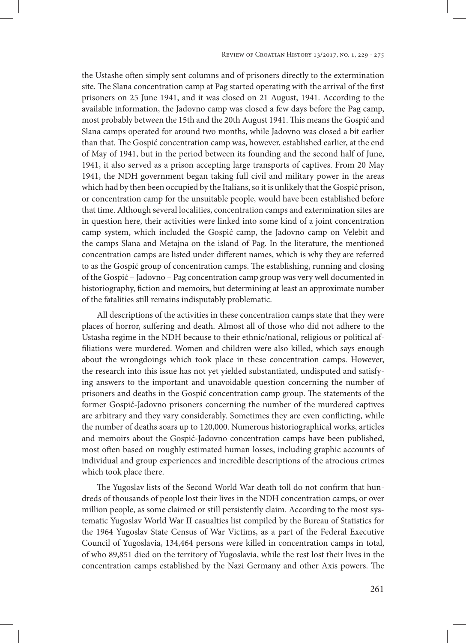the Ustashe often simply sent columns and of prisoners directly to the extermination site. The Slana concentration camp at Pag started operating with the arrival of the first prisoners on 25 June 1941, and it was closed on 21 August, 1941. According to the available information, the Jadovno camp was closed a few days before the Pag camp, most probably between the 15th and the 20th August 1941. This means the Gospić and Slana camps operated for around two months, while Jadovno was closed a bit earlier than that. The Gospić concentration camp was, however, established earlier, at the end of May of 1941, but in the period between its founding and the second half of June, 1941, it also served as a prison accepting large transports of captives. From 20 May 1941, the NDH government began taking full civil and military power in the areas which had by then been occupied by the Italians, so it is unlikely that the Gospić prison, or concentration camp for the unsuitable people, would have been established before that time. Although several localities, concentration camps and extermination sites are in question here, their activities were linked into some kind of a joint concentration camp system, which included the Gospić camp, the Jadovno camp on Velebit and the camps Slana and Metajna on the island of Pag. In the literature, the mentioned concentration camps are listed under different names, which is why they are referred to as the Gospić group of concentration camps. The establishing, running and closing of the Gospić – Jadovno – Pag concentration camp group was very well documented in historiography, fiction and memoirs, but determining at least an approximate number of the fatalities still remains indisputably problematic.

All descriptions of the activities in these concentration camps state that they were places of horror, suffering and death. Almost all of those who did not adhere to the Ustasha regime in the NDH because to their ethnic/national, religious or political affiliations were murdered. Women and children were also killed, which says enough about the wrongdoings which took place in these concentration camps. However, the research into this issue has not yet yielded substantiated, undisputed and satisfying answers to the important and unavoidable question concerning the number of prisoners and deaths in the Gospić concentration camp group. The statements of the former Gospić-Jadovno prisoners concerning the number of the murdered captives are arbitrary and they vary considerably. Sometimes they are even conflicting, while the number of deaths soars up to 120,000. Numerous historiographical works, articles and memoirs about the Gospić-Jadovno concentration camps have been published, most often based on roughly estimated human losses, including graphic accounts of individual and group experiences and incredible descriptions of the atrocious crimes which took place there.

The Yugoslav lists of the Second World War death toll do not confirm that hundreds of thousands of people lost their lives in the NDH concentration camps, or over million people, as some claimed or still persistently claim. According to the most systematic Yugoslav World War II casualties list compiled by the Bureau of Statistics for the 1964 Yugoslav State Census of War Victims, as a part of the Federal Executive Council of Yugoslavia, 134,464 persons were killed in concentration camps in total, of who 89,851 died on the territory of Yugoslavia, while the rest lost their lives in the concentration camps established by the Nazi Germany and other Axis powers. The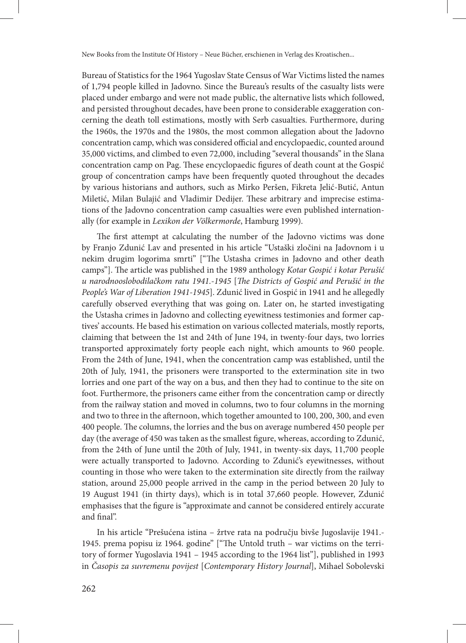Bureau of Statistics for the 1964 Yugoslav State Census of War Victims listed the names of 1,794 people killed in Jadovno. Since the Bureau's results of the casualty lists were placed under embargo and were not made public, the alternative lists which followed, and persisted throughout decades, have been prone to considerable exaggeration concerning the death toll estimations, mostly with Serb casualties. Furthermore, during the 1960s, the 1970s and the 1980s, the most common allegation about the Jadovno concentration camp, which was considered official and encyclopaedic, counted around 35,000 victims, and climbed to even 72,000, including "several thousands" in the Slana concentration camp on Pag. These encyclopaedic figures of death count at the Gospić group of concentration camps have been frequently quoted throughout the decades by various historians and authors, such as Mirko Peršen, Fikreta Jelić-Butić, Antun Miletić, Milan Bulajić and Vladimir Dedijer. These arbitrary and imprecise estimations of the Jadovno concentration camp casualties were even published internationally (for example in *Lexikon der Völkermorde*, Hamburg 1999).

The first attempt at calculating the number of the Jadovno victims was done by Franjo Zdunić Lav and presented in his article "Ustaški zločini na Jadovnom i u nekim drugim logorima smrti" ["The Ustasha crimes in Jadovno and other death camps"]. The article was published in the 1989 anthology *Kotar Gospić i kotar Perušić u narodnooslobodilačkom ratu 1941.-1945* [*The Districts of Gospić and Perušić in the People's War of Liberation 1941-1945*]. Zdunić lived in Gospić in 1941 and he allegedly carefully observed everything that was going on. Later on, he started investigating the Ustasha crimes in Jadovno and collecting eyewitness testimonies and former captives' accounts. He based his estimation on various collected materials, mostly reports, claiming that between the 1st and 24th of June 194, in twenty-four days, two lorries transported approximately forty people each night, which amounts to 960 people. From the 24th of June, 1941, when the concentration camp was established, until the 20th of July, 1941, the prisoners were transported to the extermination site in two lorries and one part of the way on a bus, and then they had to continue to the site on foot. Furthermore, the prisoners came either from the concentration camp or directly from the railway station and moved in columns, two to four columns in the morning and two to three in the afternoon, which together amounted to 100, 200, 300, and even 400 people. The columns, the lorries and the bus on average numbered 450 people per day (the average of 450 was taken as the smallest figure, whereas, according to Zdunić, from the 24th of June until the 20th of July, 1941, in twenty-six days, 11,700 people were actually transported to Jadovno. According to Zdunić's eyewitnesses, without counting in those who were taken to the extermination site directly from the railway station, around 25,000 people arrived in the camp in the period between 20 July to 19 August 1941 (in thirty days), which is in total 37,660 people. However, Zdunić emphasises that the figure is "approximate and cannot be considered entirely accurate and final".

In his article "Prešućena istina – žrtve rata na području bivše Jugoslavije 1941.- 1945. prema popisu iz 1964. godine" ["The Untold truth – war victims on the territory of former Yugoslavia 1941 – 1945 according to the 1964 list"], published in 1993 in *Časopis za suvremenu povijest* [*Contemporary History Journal*], Mihael Sobolevski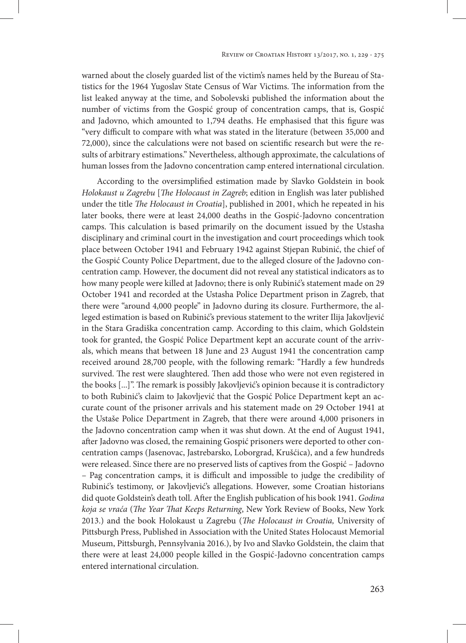warned about the closely guarded list of the victim's names held by the Bureau of Statistics for the 1964 Yugoslav State Census of War Victims. The information from the list leaked anyway at the time, and Sobolevski published the information about the number of victims from the Gospić group of concentration camps, that is, Gospić and Jadovno, which amounted to 1,794 deaths. He emphasised that this figure was "very difficult to compare with what was stated in the literature (between 35,000 and 72,000), since the calculations were not based on scientific research but were the results of arbitrary estimations." Nevertheless, although approximate, the calculations of human losses from the Jadovno concentration camp entered international circulation.

According to the oversimplified estimation made by Slavko Goldstein in book *Holokaust u Zagrebu* [*The Holocaust in Zagreb*; edition in English was later published under the title *The Holocaust in Croatia*], published in 2001, which he repeated in his later books, there were at least 24,000 deaths in the Gospić-Jadovno concentration camps. This calculation is based primarily on the document issued by the Ustasha disciplinary and criminal court in the investigation and court proceedings which took place between October 1941 and February 1942 against Stjepan Rubinić, the chief of the Gospić County Police Department, due to the alleged closure of the Jadovno concentration camp. However, the document did not reveal any statistical indicators as to how many people were killed at Jadovno; there is only Rubinić's statement made on 29 October 1941 and recorded at the Ustasha Police Department prison in Zagreb, that there were "around 4,000 people" in Jadovno during its closure. Furthermore, the alleged estimation is based on Rubinić's previous statement to the writer Ilija Jakovljević in the Stara Gradiška concentration camp. According to this claim, which Goldstein took for granted, the Gospić Police Department kept an accurate count of the arrivals, which means that between 18 June and 23 August 1941 the concentration camp received around 28,700 people, with the following remark: "Hardly a few hundreds survived. The rest were slaughtered. Then add those who were not even registered in the books [...]". The remark is possibly Jakovljević's opinion because it is contradictory to both Rubinić's claim to Jakovljević that the Gospić Police Department kept an accurate count of the prisoner arrivals and his statement made on 29 October 1941 at the Ustaše Police Department in Zagreb, that there were around 4,000 prisoners in the Jadovno concentration camp when it was shut down. At the end of August 1941, after Jadovno was closed, the remaining Gospić prisoners were deported to other concentration camps (Jasenovac, Jastrebarsko, Loborgrad, Krušćica), and a few hundreds were released. Since there are no preserved lists of captives from the Gospić – Jadovno – Pag concentration camps, it is difficult and impossible to judge the credibility of Rubinić's testimony, or Jakovljević's allegations. However, some Croatian historians did quote Goldstein's death toll. After the English publication of his book 1941. *Godina koja se vraća* (*The Year That Keeps Returning*, New York Review of Books, New York 2013.) and the book Holokaust u Zagrebu (*The Holocaust in Croatia,* University of Pittsburgh Press, Published in Association with the United States Holocaust Memorial Museum, Pittsburgh, Pennsylvania 2016.), by Ivo and Slavko Goldstein, the claim that there were at least 24,000 people killed in the Gospić-Jadovno concentration camps entered international circulation.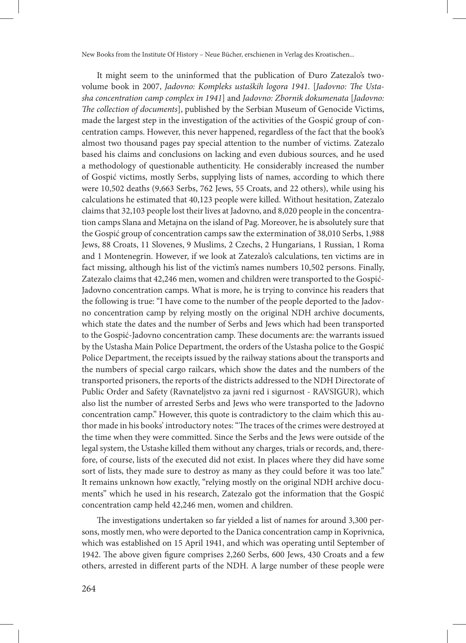It might seem to the uninformed that the publication of Đuro Zatezalo's twovolume book in 2007, *Jadovno: Kompleks ustaških logora 1941.* [*Jadovno: The Ustasha concentration camp complex in 1941*] and *Jadovno: Zbornik dokumenata* [*Jadovno: The collection of documents*], published by the Serbian Museum of Genocide Victims, made the largest step in the investigation of the activities of the Gospić group of concentration camps. However, this never happened, regardless of the fact that the book's almost two thousand pages pay special attention to the number of victims. Zatezalo based his claims and conclusions on lacking and even dubious sources, and he used a methodology of questionable authenticity. He considerably increased the number of Gospić victims, mostly Serbs, supplying lists of names, according to which there were 10,502 deaths (9,663 Serbs, 762 Jews, 55 Croats, and 22 others), while using his calculations he estimated that 40,123 people were killed. Without hesitation, Zatezalo claims that 32,103 people lost their lives at Jadovno, and 8,020 people in the concentration camps Slana and Metajna on the island of Pag. Moreover, he is absolutely sure that the Gospić group of concentration camps saw the extermination of 38,010 Serbs, 1,988 Jews, 88 Croats, 11 Slovenes, 9 Muslims, 2 Czechs, 2 Hungarians, 1 Russian, 1 Roma and 1 Montenegrin. However, if we look at Zatezalo's calculations, ten victims are in fact missing, although his list of the victim's names numbers 10,502 persons. Finally, Zatezalo claims that 42,246 men, women and children were transported to the Gospić-Jadovno concentration camps. What is more, he is trying to convince his readers that the following is true: "I have come to the number of the people deported to the Jadovno concentration camp by relying mostly on the original NDH archive documents, which state the dates and the number of Serbs and Jews which had been transported to the Gospić-Jadovno concentration camp. These documents are: the warrants issued by the Ustasha Main Police Department, the orders of the Ustasha police to the Gospić Police Department, the receipts issued by the railway stations about the transports and the numbers of special cargo railcars, which show the dates and the numbers of the transported prisoners, the reports of the districts addressed to the NDH Directorate of Public Order and Safety (Ravnateljstvo za javni red i sigurnost - RAVSIGUR), which also list the number of arrested Serbs and Jews who were transported to the Jadovno concentration camp." However, this quote is contradictory to the claim which this author made in his books' introductory notes: "The traces of the crimes were destroyed at the time when they were committed. Since the Serbs and the Jews were outside of the legal system, the Ustashe killed them without any charges, trials or records, and, therefore, of course, lists of the executed did not exist. In places where they did have some sort of lists, they made sure to destroy as many as they could before it was too late." It remains unknown how exactly, "relying mostly on the original NDH archive documents" which he used in his research, Zatezalo got the information that the Gospić concentration camp held 42,246 men, women and children.

The investigations undertaken so far yielded a list of names for around 3,300 persons, mostly men, who were deported to the Danica concentration camp in Koprivnica, which was established on 15 April 1941, and which was operating until September of 1942. The above given figure comprises 2,260 Serbs, 600 Jews, 430 Croats and a few others, arrested in different parts of the NDH. A large number of these people were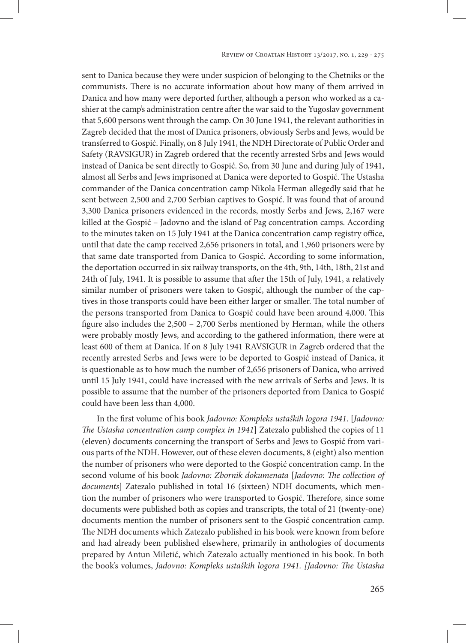sent to Danica because they were under suspicion of belonging to the Chetniks or the communists. There is no accurate information about how many of them arrived in Danica and how many were deported further, although a person who worked as a cashier at the camp's administration centre after the war said to the Yugoslav government that 5,600 persons went through the camp. On 30 June 1941, the relevant authorities in Zagreb decided that the most of Danica prisoners, obviously Serbs and Jews, would be transferred to Gospić. Finally, on 8 July 1941, the NDH Directorate of Public Order and Safety (RAVSIGUR) in Zagreb ordered that the recently arrested Srbs and Jews would instead of Danica be sent directly to Gospić. So, from 30 June and during July of 1941, almost all Serbs and Jews imprisoned at Danica were deported to Gospić. The Ustasha commander of the Danica concentration camp Nikola Herman allegedly said that he sent between 2,500 and 2,700 Serbian captives to Gospić. It was found that of around 3,300 Danica prisoners evidenced in the records, mostly Serbs and Jews, 2,167 were killed at the Gospić – Jadovno and the island of Pag concentration camps. According to the minutes taken on 15 July 1941 at the Danica concentration camp registry office, until that date the camp received 2,656 prisoners in total, and 1,960 prisoners were by that same date transported from Danica to Gospić. According to some information, the deportation occurred in six railway transports, on the 4th, 9th, 14th, 18th, 21st and 24th of July, 1941. It is possible to assume that after the 15th of July, 1941, a relatively similar number of prisoners were taken to Gospić, although the number of the captives in those transports could have been either larger or smaller. The total number of the persons transported from Danica to Gospić could have been around 4,000. This figure also includes the 2,500 – 2,700 Serbs mentioned by Herman, while the others were probably mostly Jews, and according to the gathered information, there were at least 600 of them at Danica. If on 8 July 1941 RAVSIGUR in Zagreb ordered that the recently arrested Serbs and Jews were to be deported to Gospić instead of Danica, it is questionable as to how much the number of 2,656 prisoners of Danica, who arrived until 15 July 1941, could have increased with the new arrivals of Serbs and Jews. It is possible to assume that the number of the prisoners deported from Danica to Gospić could have been less than 4,000.

In the first volume of his book *Jadovno: Kompleks ustaških logora 1941*. [*Jadovno: The Ustasha concentration camp complex in 1941*] Zatezalo published the copies of 11 (eleven) documents concerning the transport of Serbs and Jews to Gospić from various parts of the NDH. However, out of these eleven documents, 8 (eight) also mention the number of prisoners who were deported to the Gospić concentration camp. In the second volume of his book *Jadovno: Zbornik dokumenata* [*Jadovno: The collection of documents*] Zatezalo published in total 16 (sixteen) NDH documents, which mention the number of prisoners who were transported to Gospić. Therefore, since some documents were published both as copies and transcripts, the total of 21 (twenty-one) documents mention the number of prisoners sent to the Gospić concentration camp. The NDH documents which Zatezalo published in his book were known from before and had already been published elsewhere, primarily in anthologies of documents prepared by Antun Miletić, which Zatezalo actually mentioned in his book. In both the book's volumes, *Jadovno: Kompleks ustaških logora 1941. [Jadovno: The Ustasha*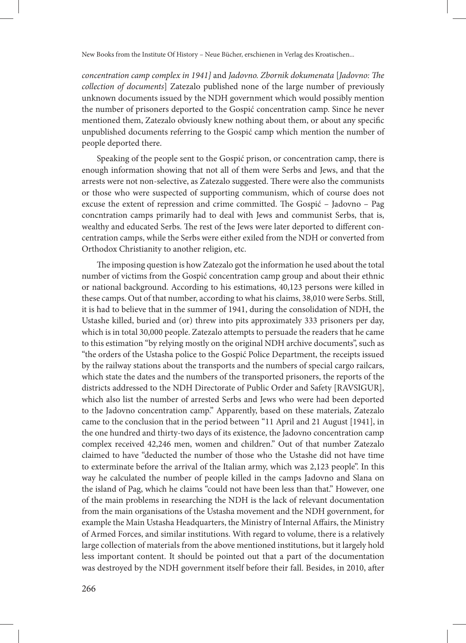*concentration camp complex in 1941]* and *Jadovno. Zbornik dokumenata* [*Jadovno: The collection of documents*] Zatezalo published none of the large number of previously unknown documents issued by the NDH government which would possibly mention the number of prisoners deported to the Gospić concentration camp. Since he never mentioned them, Zatezalo obviously knew nothing about them, or about any specific unpublished documents referring to the Gospić camp which mention the number of people deported there.

Speaking of the people sent to the Gospić prison, or concentration camp, there is enough information showing that not all of them were Serbs and Jews, and that the arrests were not non-selective, as Zatezalo suggested. There were also the communists or those who were suspected of supporting communism, which of course does not excuse the extent of repression and crime committed. The Gospić – Jadovno – Pag concntration camps primarily had to deal with Jews and communist Serbs, that is, wealthy and educated Serbs. The rest of the Jews were later deported to different concentration camps, while the Serbs were either exiled from the NDH or converted from Orthodox Christianity to another religion, etc.

The imposing question is how Zatezalo got the information he used about the total number of victims from the Gospić concentration camp group and about their ethnic or national background. According to his estimations, 40,123 persons were killed in these camps. Out of that number, according to what his claims, 38,010 were Serbs. Still, it is had to believe that in the summer of 1941, during the consolidation of NDH, the Ustashe killed, buried and (or) threw into pits approximately 333 prisoners per day, which is in total 30,000 people. Zatezalo attempts to persuade the readers that he came to this estimation "by relying mostly on the original NDH archive documents", such as "the orders of the Ustasha police to the Gospić Police Department, the receipts issued by the railway stations about the transports and the numbers of special cargo railcars, which state the dates and the numbers of the transported prisoners, the reports of the districts addressed to the NDH Directorate of Public Order and Safety [RAVSIGUR], which also list the number of arrested Serbs and Jews who were had been deported to the Jadovno concentration camp." Apparently, based on these materials, Zatezalo came to the conclusion that in the period between "11 April and 21 August [1941], in the one hundred and thirty-two days of its existence, the Jadovno concentration camp complex received 42,246 men, women and children." Out of that number Zatezalo claimed to have "deducted the number of those who the Ustashe did not have time to exterminate before the arrival of the Italian army, which was 2,123 people". In this way he calculated the number of people killed in the camps Jadovno and Slana on the island of Pag, which he claims "could not have been less than that." However, one of the main problems in researching the NDH is the lack of relevant documentation from the main organisations of the Ustasha movement and the NDH government, for example the Main Ustasha Headquarters, the Ministry of Internal Affairs, the Ministry of Armed Forces, and similar institutions. With regard to volume, there is a relatively large collection of materials from the above mentioned institutions, but it largely hold less important content. It should be pointed out that a part of the documentation was destroyed by the NDH government itself before their fall. Besides, in 2010, after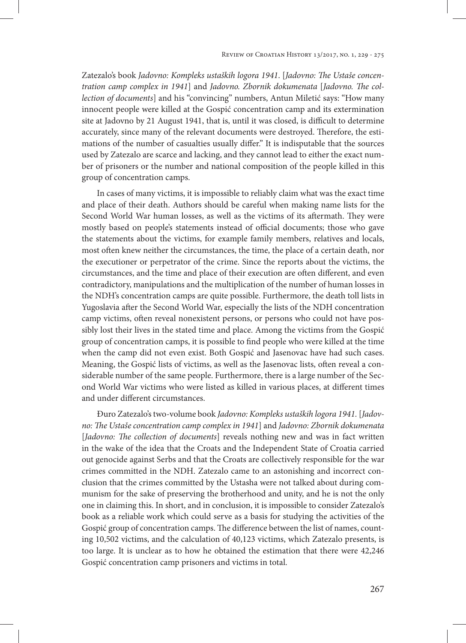Zatezalo's book *Jadovno: Kompleks ustaških logora 1941*. [*Jadovno: The Ustaše concentration camp complex in 1941*] and *Jadovno. Zbornik dokumenata* [*Jadovno. The collection of documents*] and his "convincing" numbers, Antun Miletić says: "How many innocent people were killed at the Gospić concentration camp and its extermination site at Jadovno by 21 August 1941, that is, until it was closed, is difficult to determine accurately, since many of the relevant documents were destroyed. Therefore, the estimations of the number of casualties usually differ." It is indisputable that the sources used by Zatezalo are scarce and lacking, and they cannot lead to either the exact number of prisoners or the number and national composition of the people killed in this group of concentration camps.

In cases of many victims, it is impossible to reliably claim what was the exact time and place of their death. Authors should be careful when making name lists for the Second World War human losses, as well as the victims of its aftermath. They were mostly based on people's statements instead of official documents; those who gave the statements about the victims, for example family members, relatives and locals, most often knew neither the circumstances, the time, the place of a certain death, nor the executioner or perpetrator of the crime. Since the reports about the victims, the circumstances, and the time and place of their execution are often different, and even contradictory, manipulations and the multiplication of the number of human losses in the NDH's concentration camps are quite possible. Furthermore, the death toll lists in Yugoslavia after the Second World War, especially the lists of the NDH concentration camp victims, often reveal nonexistent persons, or persons who could not have possibly lost their lives in the stated time and place. Among the victims from the Gospić group of concentration camps, it is possible to find people who were killed at the time when the camp did not even exist. Both Gospić and Jasenovac have had such cases. Meaning, the Gospić lists of victims, as well as the Jasenovac lists, often reveal a considerable number of the same people. Furthermore, there is a large number of the Second World War victims who were listed as killed in various places, at different times and under different circumstances.

Đuro Zatezalo's two-volume book *Jadovno: Kompleks ustaških logora 1941.* [*Jadovno: The Ustaše concentration camp complex in 1941*] and *Jadovno: Zbornik dokumenata* [*Jadovno: The collection of documents*] reveals nothing new and was in fact written in the wake of the idea that the Croats and the Independent State of Croatia carried out genocide against Serbs and that the Croats are collectively responsible for the war crimes committed in the NDH. Zatezalo came to an astonishing and incorrect conclusion that the crimes committed by the Ustasha were not talked about during communism for the sake of preserving the brotherhood and unity, and he is not the only one in claiming this. In short, and in conclusion, it is impossible to consider Zatezalo's book as a reliable work which could serve as a basis for studying the activities of the Gospić group of concentration camps. The difference between the list of names, counting 10,502 victims, and the calculation of 40,123 victims, which Zatezalo presents, is too large. It is unclear as to how he obtained the estimation that there were 42,246 Gospić concentration camp prisoners and victims in total.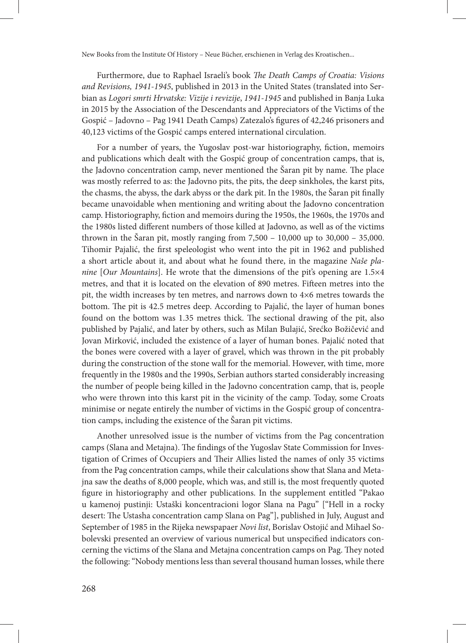Furthermore, due to Raphael Israeli's book *The Death Camps of Croatia: Visions and Revisions, 1941-1945*, published in 2013 in the United States (translated into Serbian as *Logori smrti Hrvatske: Vizije i revizije*, *1941-1945* and published in Banja Luka in 2015 by the Association of the Descendants and Appreciators of the Victims of the Gospić – Jadovno – Pag 1941 Death Camps) Zatezalo's figures of 42,246 prisoners and 40,123 victims of the Gospić camps entered international circulation.

For a number of years, the Yugoslav post-war historiography, fiction, memoirs and publications which dealt with the Gospić group of concentration camps, that is, the Jadovno concentration camp, never mentioned the Šaran pit by name. The place was mostly referred to as: the Jadovno pits, the pits, the deep sinkholes, the karst pits, the chasms, the abyss, the dark abyss or the dark pit. In the 1980s, the Šaran pit finally became unavoidable when mentioning and writing about the Jadovno concentration camp. Historiography, fiction and memoirs during the 1950s, the 1960s, the 1970s and the 1980s listed different numbers of those killed at Jadovno, as well as of the victims thrown in the Šaran pit, mostly ranging from  $7,500 - 10,000$  up to  $30,000 - 35,000$ . Tihomir Pajalić, the first speleologist who went into the pit in 1962 and published a short article about it, and about what he found there, in the magazine *Naše planine* [*Our Mountains*]. He wrote that the dimensions of the pit's opening are 1.5×4 metres, and that it is located on the elevation of 890 metres. Fifteen metres into the pit, the width increases by ten metres, and narrows down to 4×6 metres towards the bottom. The pit is 42.5 metres deep. According to Pajalić, the layer of human bones found on the bottom was 1.35 metres thick. The sectional drawing of the pit, also published by Pajalić, and later by others, such as Milan Bulajić, Srećko Božičević and Jovan Mirković, included the existence of a layer of human bones. Pajalić noted that the bones were covered with a layer of gravel, which was thrown in the pit probably during the construction of the stone wall for the memorial. However, with time, more frequently in the 1980s and the 1990s, Serbian authors started considerably increasing the number of people being killed in the Jadovno concentration camp, that is, people who were thrown into this karst pit in the vicinity of the camp. Today, some Croats minimise or negate entirely the number of victims in the Gospić group of concentration camps, including the existence of the Šaran pit victims.

Another unresolved issue is the number of victims from the Pag concentration camps (Slana and Metajna). The findings of the Yugoslav State Commission for Investigation of Crimes of Occupiers and Their Allies listed the names of only 35 victims from the Pag concentration camps, while their calculations show that Slana and Metajna saw the deaths of 8,000 people, which was, and still is, the most frequently quoted figure in historiography and other publications. In the supplement entitled "Pakao u kamenoj pustinji: Ustaški koncentracioni logor Slana na Pagu" ["Hell in a rocky desert: The Ustasha concentration camp Slana on Pag"], published in July, August and September of 1985 in the Rijeka newspapaer *Novi list*, Borislav Ostojić and Mihael Sobolevski presented an overview of various numerical but unspecified indicators concerning the victims of the Slana and Metajna concentration camps on Pag. They noted the following: "Nobody mentions less than several thousand human losses, while there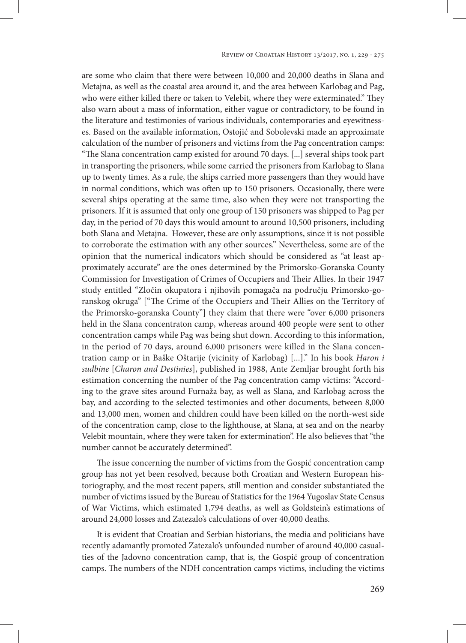are some who claim that there were between 10,000 and 20,000 deaths in Slana and Metajna, as well as the coastal area around it, and the area between Karlobag and Pag, who were either killed there or taken to Velebit, where they were exterminated." They also warn about a mass of information, either vague or contradictory, to be found in the literature and testimonies of various individuals, contemporaries and eyewitnesses. Based on the available information, Ostojić and Sobolevski made an approximate calculation of the number of prisoners and victims from the Pag concentration camps: "The Slana concentration camp existed for around 70 days. [...] several ships took part in transporting the prisoners, while some carried the prisoners from Karlobag to Slana up to twenty times. As a rule, the ships carried more passengers than they would have in normal conditions, which was often up to 150 prisoners. Occasionally, there were several ships operating at the same time, also when they were not transporting the prisoners. If it is assumed that only one group of 150 prisoners was shipped to Pag per day, in the period of 70 days this would amount to around 10,500 prisoners, including both Slana and Metajna. However, these are only assumptions, since it is not possible to corroborate the estimation with any other sources." Nevertheless, some are of the opinion that the numerical indicators which should be considered as "at least approximately accurate" are the ones determined by the Primorsko-Goranska County Commission for Investigation of Crimes of Occupiers and Their Allies. In their 1947 study entitled "Zločin okupatora i njihovih pomagača na području Primorsko-goranskog okruga" ["The Crime of the Occupiers and Their Allies on the Territory of the Primorsko-goranska County"] they claim that there were "over 6,000 prisoners held in the Slana concentraton camp, whereas around 400 people were sent to other concentration camps while Pag was being shut down. According to this information, in the period of 70 days, around 6,000 prisoners were killed in the Slana concentration camp or in Baške Oštarije (vicinity of Karlobag) [...]." In his book *Haron i sudbine* [*Charon and Destinies*], published in 1988, Ante Zemljar brought forth his estimation concerning the number of the Pag concentration camp victims: "According to the grave sites around Furnaža bay, as well as Slana, and Karlobag across the bay, and according to the selected testimonies and other documents, between 8,000 and 13,000 men, women and children could have been killed on the north-west side of the concentration camp, close to the lighthouse, at Slana, at sea and on the nearby Velebit mountain, where they were taken for extermination". He also believes that "the number cannot be accurately determined".

The issue concerning the number of victims from the Gospić concentration camp group has not yet been resolved, because both Croatian and Western European historiography, and the most recent papers, still mention and consider substantiated the number of victims issued by the Bureau of Statistics for the 1964 Yugoslav State Census of War Victims, which estimated 1,794 deaths, as well as Goldstein's estimations of around 24,000 losses and Zatezalo's calculations of over 40,000 deaths.

It is evident that Croatian and Serbian historians, the media and politicians have recently adamantly promoted Zatezalo's unfounded number of around 40,000 casualties of the Jadovno concentration camp, that is, the Gospić group of concentration camps. The numbers of the NDH concentration camps victims, including the victims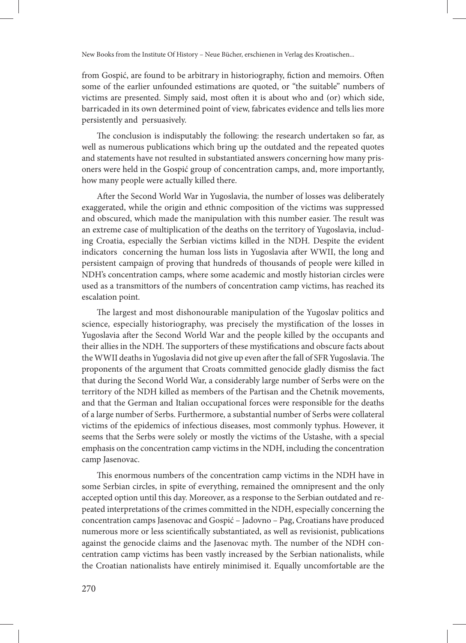from Gospić, are found to be arbitrary in historiography, fiction and memoirs. Often some of the earlier unfounded estimations are quoted, or "the suitable" numbers of victims are presented. Simply said, most often it is about who and (or) which side, barricaded in its own determined point of view, fabricates evidence and tells lies more persistently and persuasively.

The conclusion is indisputably the following: the research undertaken so far, as well as numerous publications which bring up the outdated and the repeated quotes and statements have not resulted in substantiated answers concerning how many prisoners were held in the Gospić group of concentration camps, and, more importantly, how many people were actually killed there.

After the Second World War in Yugoslavia, the number of losses was deliberately exaggerated, while the origin and ethnic composition of the victims was suppressed and obscured, which made the manipulation with this number easier. The result was an extreme case of multiplication of the deaths on the territory of Yugoslavia, including Croatia, especially the Serbian victims killed in the NDH. Despite the evident indicators concerning the human loss lists in Yugoslavia after WWII, the long and persistent campaign of proving that hundreds of thousands of people were killed in NDH's concentration camps, where some academic and mostly historian circles were used as a transmittors of the numbers of concentration camp victims, has reached its escalation point.

The largest and most dishonourable manipulation of the Yugoslav politics and science, especially historiography, was precisely the mystification of the losses in Yugoslavia after the Second World War and the people killed by the occupants and their allies in the NDH. The supporters of these mystifications and obscure facts about the WWII deaths in Yugoslavia did not give up even after the fall of SFR Yugoslavia. The proponents of the argument that Croats committed genocide gladly dismiss the fact that during the Second World War, a considerably large number of Serbs were on the territory of the NDH killed as members of the Partisan and the Chetnik movements, and that the German and Italian occupational forces were responsible for the deaths of a large number of Serbs. Furthermore, a substantial number of Serbs were collateral victims of the epidemics of infectious diseases, most commonly typhus. However, it seems that the Serbs were solely or mostly the victims of the Ustashe, with a special emphasis on the concentration camp victims in the NDH, including the concentration camp Jasenovac.

This enormous numbers of the concentration camp victims in the NDH have in some Serbian circles, in spite of everything, remained the omnipresent and the only accepted option until this day. Moreover, as a response to the Serbian outdated and repeated interpretations of the crimes committed in the NDH, especially concerning the concentration camps Jasenovac and Gospić – Jadovno – Pag, Croatians have produced numerous more or less scientifically substantiated, as well as revisionist, publications against the genocide claims and the Jasenovac myth. The number of the NDH concentration camp victims has been vastly increased by the Serbian nationalists, while the Croatian nationalists have entirely minimised it. Equally uncomfortable are the